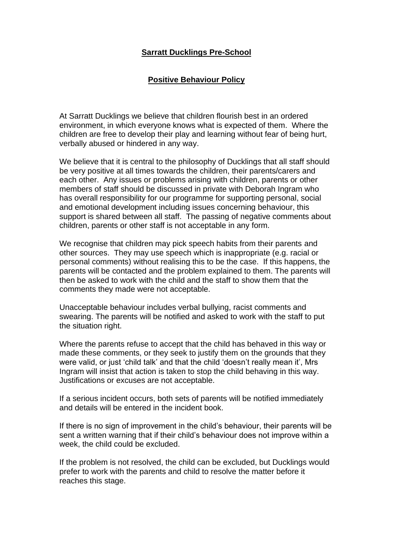## **Sarratt Ducklings Pre-School**

## **Positive Behaviour Policy**

At Sarratt Ducklings we believe that children flourish best in an ordered environment, in which everyone knows what is expected of them. Where the children are free to develop their play and learning without fear of being hurt, verbally abused or hindered in any way.

We believe that it is central to the philosophy of Ducklings that all staff should be very positive at all times towards the children, their parents/carers and each other. Any issues or problems arising with children, parents or other members of staff should be discussed in private with Deborah Ingram who has overall responsibility for our programme for supporting personal, social and emotional development including issues concerning behaviour, this support is shared between all staff. The passing of negative comments about children, parents or other staff is not acceptable in any form.

We recognise that children may pick speech habits from their parents and other sources. They may use speech which is inappropriate (e.g. racial or personal comments) without realising this to be the case. If this happens, the parents will be contacted and the problem explained to them. The parents will then be asked to work with the child and the staff to show them that the comments they made were not acceptable.

Unacceptable behaviour includes verbal bullying, racist comments and swearing. The parents will be notified and asked to work with the staff to put the situation right.

Where the parents refuse to accept that the child has behaved in this way or made these comments, or they seek to justify them on the grounds that they were valid, or just 'child talk' and that the child 'doesn't really mean it', Mrs Ingram will insist that action is taken to stop the child behaving in this way. Justifications or excuses are not acceptable.

If a serious incident occurs, both sets of parents will be notified immediately and details will be entered in the incident book.

If there is no sign of improvement in the child's behaviour, their parents will be sent a written warning that if their child's behaviour does not improve within a week, the child could be excluded.

If the problem is not resolved, the child can be excluded, but Ducklings would prefer to work with the parents and child to resolve the matter before it reaches this stage.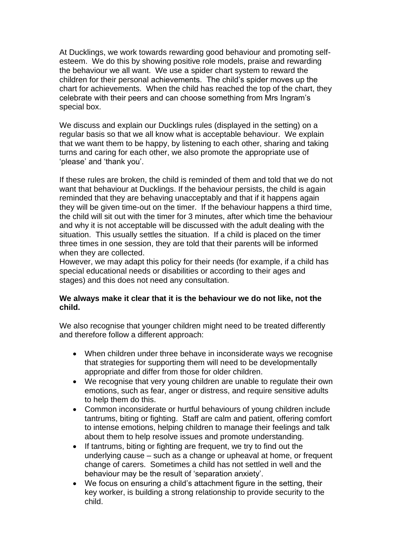At Ducklings, we work towards rewarding good behaviour and promoting selfesteem. We do this by showing positive role models, praise and rewarding the behaviour we all want. We use a spider chart system to reward the children for their personal achievements. The child's spider moves up the chart for achievements. When the child has reached the top of the chart, they celebrate with their peers and can choose something from Mrs Ingram's special box.

We discuss and explain our Ducklings rules (displayed in the setting) on a regular basis so that we all know what is acceptable behaviour. We explain that we want them to be happy, by listening to each other, sharing and taking turns and caring for each other, we also promote the appropriate use of 'please' and 'thank you'.

If these rules are broken, the child is reminded of them and told that we do not want that behaviour at Ducklings. If the behaviour persists, the child is again reminded that they are behaving unacceptably and that if it happens again they will be given time-out on the timer. If the behaviour happens a third time, the child will sit out with the timer for 3 minutes, after which time the behaviour and why it is not acceptable will be discussed with the adult dealing with the situation. This usually settles the situation. If a child is placed on the timer three times in one session, they are told that their parents will be informed when they are collected.

However, we may adapt this policy for their needs (for example, if a child has special educational needs or disabilities or according to their ages and stages) and this does not need any consultation.

## **We always make it clear that it is the behaviour we do not like, not the child.**

We also recognise that younger children might need to be treated differently and therefore follow a different approach:

- When children under three behave in inconsiderate ways we recognise that strategies for supporting them will need to be developmentally appropriate and differ from those for older children.
- We recognise that very young children are unable to regulate their own emotions, such as fear, anger or distress, and require sensitive adults to help them do this.
- Common inconsiderate or hurtful behaviours of young children include tantrums, biting or fighting. Staff are calm and patient, offering comfort to intense emotions, helping children to manage their feelings and talk about them to help resolve issues and promote understanding.
- If tantrums, biting or fighting are frequent, we try to find out the underlying cause – such as a change or upheaval at home, or frequent change of carers. Sometimes a child has not settled in well and the behaviour may be the result of 'separation anxiety'.
- We focus on ensuring a child's attachment figure in the setting, their key worker, is building a strong relationship to provide security to the child.